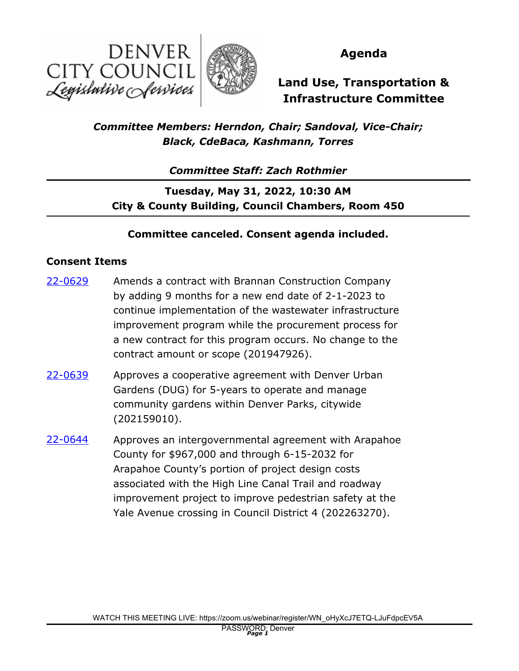



### **Agenda**

# **Land Use, Transportation & Infrastructure Committee**

## *Committee Members: Herndon, Chair; Sandoval, Vice-Chair; Black, CdeBaca, Kashmann, Torres*

*Committee Staff: Zach Rothmier*

**Tuesday, May 31, 2022, 10:30 AM City & County Building, Council Chambers, Room 450**

#### **Committee canceled. Consent agenda included.**

#### **Consent Items**

- Amends a contract with Brannan Construction Company by adding 9 months for a new end date of 2-1-2023 to continue implementation of the wastewater infrastructure improvement program while the procurement process for a new contract for this program occurs. No change to the contract amount or scope (201947926). [22-0629](http://denver.legistar.com/gateway.aspx?m=l&id=/matter.aspx?key=21696)
- Approves a cooperative agreement with Denver Urban Gardens (DUG) for 5-years to operate and manage community gardens within Denver Parks, citywide (202159010). [22-0639](http://denver.legistar.com/gateway.aspx?m=l&id=/matter.aspx?key=21706)
- Approves an intergovernmental agreement with Arapahoe County for \$967,000 and through 6-15-2032 for Arapahoe County's portion of project design costs associated with the High Line Canal Trail and roadway improvement project to improve pedestrian safety at the Yale Avenue crossing in Council District 4 (202263270). [22-0644](http://denver.legistar.com/gateway.aspx?m=l&id=/matter.aspx?key=21711)